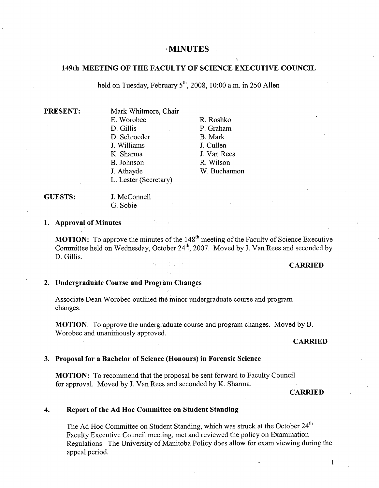# **MINUTES**

# **149th MEETING OF THE FACULTY OF SCIENCE EXECUTIVE COUNCIL**

held on Tuesday, February 5th 2008, 10:00 a.m. in *250* Allen

### **PRESENT:**

R. Roshko P. Graham B. Mark J. Cullen J. Van Rees R. Wilson W. Buchannon

# **GUESTS:** J. McConnell

G. Sobie

### **Approval of Minutes**

**MOTION:** To approve the minutes of the 148<sup>th</sup> meeting of the Faculty of Science Executive Committee held on Wednesday, October 24<sup>th</sup>, 2007. Moved by J. Van Rees and seconded by D. Gillis.

# **CARRIED**

# **Undergraduate Course and Program Changes**

Associate Dean Worobec outlined the minor undergraduate course and program changes.

**MOTION:** To approve the undergraduate course and program changes. Moved by B. Worobec and unanimously approved.

## **CARRIED**

# **Proposal for a Bachelor of Science (Honours) in Forensic Science**

**MOTION:** To recommend that the proposal be sent forward to Faculty Council for approval. Moved by J. Van Rees and seconded by K. Sharma.

# **CARRIED**

#### $\overline{4}$ . **Report of the Ad Hoc Committee on Student Standing**

The Ad Hoc Committee on Student Standing, which was struck at the October 24<sup>th</sup> Faculty Executive Council meeting, met and reviewed the policy on Examination Regulations. The University of Manitoba Policy does allow for exam viewing during the appeal period.

 $\mathbf{1}$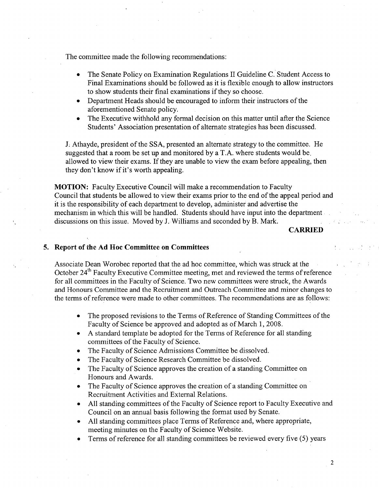The committee made the following recommendations:

- The Senate Policy on Examination Regulations II Guideline C. Student Access to Final Examinations should be followed as it is flexible enough to allow instructors to show students their final examinations if they so choose.
- Department Heads should be encouraged to inform their instructors of the aforementioned Senate policy.
- The Executive withhold any formal decision on this matter until after the Science Students' Association presentation of alternate strategies has been discussed.

J. Athayde, president of the SSA, presented an alternate strategy to the committee. He suggested that a room be set up and monitored by a T.A. where students would be. allowed to view their exams. If they are unable to view the exam before appealing, then they don't know if it's worth appealing.

**MOTION:** Faculty Executive Council will make a recommendation to Faculty Council that students be allowed to view their exams prior to the end of the appeal period and it is the responsibility of each department to develop, administer and advertise the mechanism in which this will be handled. Students should have input into the department discussions on this issue. Moved by J. Williams and seconded by B. Mark.

# **CARRIED**

# **5. Report of the Ad Hoc Committee on Committees i..:**

Associate Dean Worobec reported that the ad hoc committee, which was struck at the October 24<sup>th</sup> Faculty Executive Committee meeting, met and reviewed the terms of reference for all committees in the Faculty of Science. Two new committees were struck, the Awards and Honours Committee and the Recruitment and Outreach Committee and minor changes to the terms of reference were made to other committees. The recommendations are as follows:

- The proposed revisions to the Terms of Reference of Standing Committees of the Faculty of Science be approved and adopted as of March 1, 2008.
- A standard template be adopted for the Terms of Reference for all standing committees of the Faculty of Science.
- The Faculty of Science Admissions Committee be dissolved.
- The Faculty of Science Research Committee be dissolved.
- The Faculty of Science approves the creation of a standing Committee on Honours and Awards.
- The Faculty of Science approves the creation of a standing Committee on Recruitment Activities and External Relations.
- All standing committees of the Faculty of Science report to Faculty Executive and Council on an annual basis following the format used by Senate.
- All standing committees place Terms of Reference and, where appropriate, meeting minutes on the Faculty of Science Website.
- Terms of reference for all standing committees be reviewed every five *(5)* years

 $\boldsymbol{2}$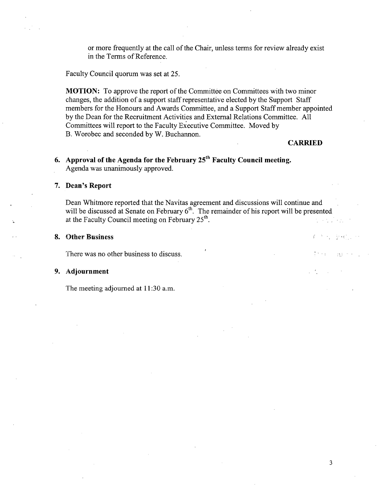or more frequently at the call of the Chair, unless terms for review already exist in the Terms of Reference.

Faculty Council quorum was set at *25.* 

**MOTION:** To approve the report of the Committee on Committees with two minor changes, the addition of a support staff representative elected by the Support Staff members for the Honours and Awards Committee, and a Support Staff member appointed by the Dean for the Recruitment Activities and External Relations Committee. All Committees will report to the Faculty Executive Committee. Moved by B. Worobec and seconded by W. Buchannon.

### **CARRIED**

Professor Co.

15.1

# **Approval of the Agenda for the February 251h Faculty Council meeting.**  Agenda was unanimously approved.

## **Dean's Report**

Dean Whitmore reported that the Navitas agreement and discussions will continue and will be discussed at Senate on February  $6<sup>th</sup>$ . The remainder of his report will be presented at the Faculty Council meeting on February *25k".*   $\mathcal{L} \rightarrow \mathcal{L} \rightarrow \mathcal{L}$ 

### **Other Business**

There was no other business to discuss.

# **Adjournment**

The meeting adjourned at 11:30 a.m.